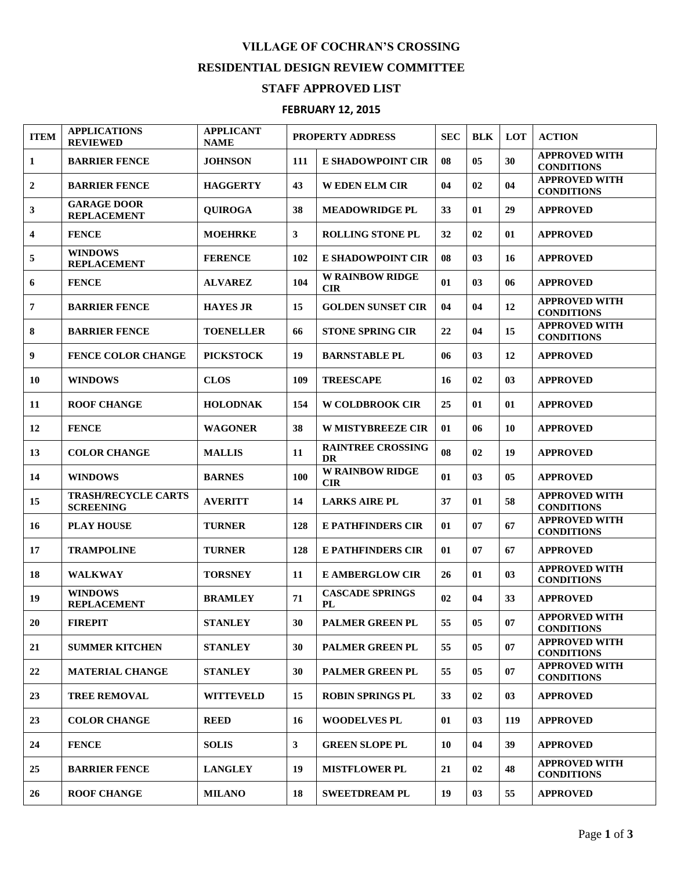## **VILLAGE OF COCHRAN'S CROSSING**

## **RESIDENTIAL DESIGN REVIEW COMMITTEE**

## **STAFF APPROVED LIST**

## **FEBRUARY 12, 2015**

| <b>ITEM</b>    | <b>APPLICATIONS</b><br><b>REVIEWED</b>         | <b>APPLICANT</b><br><b>NAME</b> | PROPERTY ADDRESS |                                       | <b>SEC</b> | <b>BLK</b>     | <b>LOT</b>     | <b>ACTION</b>                             |
|----------------|------------------------------------------------|---------------------------------|------------------|---------------------------------------|------------|----------------|----------------|-------------------------------------------|
| $\mathbf{1}$   | <b>BARRIER FENCE</b>                           | <b>JOHNSON</b>                  | 111              | <b>E SHADOWPOINT CIR</b>              | 08         | 0 <sub>5</sub> | 30             | <b>APPROVED WITH</b><br><b>CONDITIONS</b> |
| $\overline{2}$ | <b>BARRIER FENCE</b>                           | <b>HAGGERTY</b>                 | 43               | <b>WEDEN ELM CIR</b>                  | 04         | 02             | 04             | <b>APPROVED WITH</b><br><b>CONDITIONS</b> |
| 3              | <b>GARAGE DOOR</b><br><b>REPLACEMENT</b>       | <b>OUIROGA</b>                  | 38               | <b>MEADOWRIDGE PL</b>                 | 33         | 01             | 29             | <b>APPROVED</b>                           |
| 4              | <b>FENCE</b>                                   | <b>MOEHRKE</b>                  | $\mathbf{3}$     | <b>ROLLING STONE PL</b>               | 32         | 02             | 01             | <b>APPROVED</b>                           |
| 5              | <b>WINDOWS</b><br><b>REPLACEMENT</b>           | <b>FERENCE</b>                  | 102              | <b>E SHADOWPOINT CIR</b>              | 08         | 03             | 16             | <b>APPROVED</b>                           |
| 6              | <b>FENCE</b>                                   | <b>ALVAREZ</b>                  | 104              | <b>W RAINBOW RIDGE</b><br>CIR         | 01         | 03             | 06             | <b>APPROVED</b>                           |
| $\overline{7}$ | <b>BARRIER FENCE</b>                           | <b>HAYES JR</b>                 | 15               | <b>GOLDEN SUNSET CIR</b>              | 04         | 04             | 12             | <b>APPROVED WITH</b><br><b>CONDITIONS</b> |
| 8              | <b>BARRIER FENCE</b>                           | <b>TOENELLER</b>                | 66               | <b>STONE SPRING CIR</b>               | 22         | 04             | 15             | <b>APPROVED WITH</b><br><b>CONDITIONS</b> |
| 9              | <b>FENCE COLOR CHANGE</b>                      | <b>PICKSTOCK</b>                | 19               | <b>BARNSTABLE PL</b>                  | 06         | 03             | 12             | <b>APPROVED</b>                           |
| 10             | <b>WINDOWS</b>                                 | <b>CLOS</b>                     | 109              | <b>TREESCAPE</b>                      | 16         | 02             | 03             | <b>APPROVED</b>                           |
| 11             | <b>ROOF CHANGE</b>                             | <b>HOLODNAK</b>                 | 154              | <b>W COLDBROOK CIR</b>                | 25         | 01             | 01             | <b>APPROVED</b>                           |
| 12             | <b>FENCE</b>                                   | <b>WAGONER</b>                  | 38               | <b>W MISTYBREEZE CIR</b>              | 01         | 06             | 10             | <b>APPROVED</b>                           |
| 13             | <b>COLOR CHANGE</b>                            | <b>MALLIS</b>                   | 11               | <b>RAINTREE CROSSING</b><br><b>DR</b> | 08         | 02             | 19             | <b>APPROVED</b>                           |
| 14             | <b>WINDOWS</b>                                 | <b>BARNES</b>                   | 100              | <b>W RAINBOW RIDGE</b><br><b>CIR</b>  | 01         | 03             | 0 <sub>5</sub> | <b>APPROVED</b>                           |
| 15             | <b>TRASH/RECYCLE CARTS</b><br><b>SCREENING</b> | <b>AVERITT</b>                  | 14               | <b>LARKS AIRE PL</b>                  | 37         | 01             | 58             | <b>APPROVED WITH</b><br><b>CONDITIONS</b> |
| 16             | <b>PLAY HOUSE</b>                              | <b>TURNER</b>                   | 128              | <b>E PATHFINDERS CIR</b>              | 01         | 07             | 67             | <b>APPROVED WITH</b><br><b>CONDITIONS</b> |
| 17             | <b>TRAMPOLINE</b>                              | <b>TURNER</b>                   | 128              | <b>E PATHFINDERS CIR</b>              | 01         | 07             | 67             | <b>APPROVED</b>                           |
| 18             | <b>WALKWAY</b>                                 | <b>TORSNEY</b>                  | 11               | <b>E AMBERGLOW CIR</b>                | 26         | 01             | 03             | <b>APPROVED WITH</b><br><b>CONDITIONS</b> |
| 19             | <b>WINDOWS</b><br><b>REPLACEMENT</b>           | <b>BRAMLEY</b>                  | 71               | <b>CASCADE SPRINGS</b><br>PL          | 02         | 04             | 33             | <b>APPROVED</b>                           |
| 20             | <b>FIREPIT</b>                                 | <b>STANLEY</b>                  | 30               | PALMER GREEN PL                       | 55         | 05             | 07             | <b>APPORVED WITH</b><br><b>CONDITIONS</b> |
| 21             | <b>SUMMER KITCHEN</b>                          | <b>STANLEY</b>                  | 30               | <b>PALMER GREEN PL</b>                | 55         | 05             | 07             | <b>APPROVED WITH</b><br><b>CONDITIONS</b> |
| 22             | <b>MATERIAL CHANGE</b>                         | <b>STANLEY</b>                  | 30               | <b>PALMER GREEN PL</b>                | 55         | 05             | 07             | <b>APPROVED WITH</b><br><b>CONDITIONS</b> |
| 23             | <b>TREE REMOVAL</b>                            | <b>WITTEVELD</b>                | 15               | <b>ROBIN SPRINGS PL</b>               | 33         | 02             | 03             | <b>APPROVED</b>                           |
| 23             | <b>COLOR CHANGE</b>                            | <b>REED</b>                     | 16               | <b>WOODELVES PL</b>                   | 01         | 03             | 119            | <b>APPROVED</b>                           |
| 24             | <b>FENCE</b>                                   | <b>SOLIS</b>                    | $\mathbf{3}$     | <b>GREEN SLOPE PL</b>                 | 10         | 04             | 39             | <b>APPROVED</b>                           |
| 25             | <b>BARRIER FENCE</b>                           | <b>LANGLEY</b>                  | 19               | <b>MISTFLOWER PL</b>                  | 21         | 02             | 48             | <b>APPROVED WITH</b><br><b>CONDITIONS</b> |
| 26             | <b>ROOF CHANGE</b>                             | <b>MILANO</b>                   | 18               | <b>SWEETDREAM PL</b>                  | 19         | 03             | 55             | <b>APPROVED</b>                           |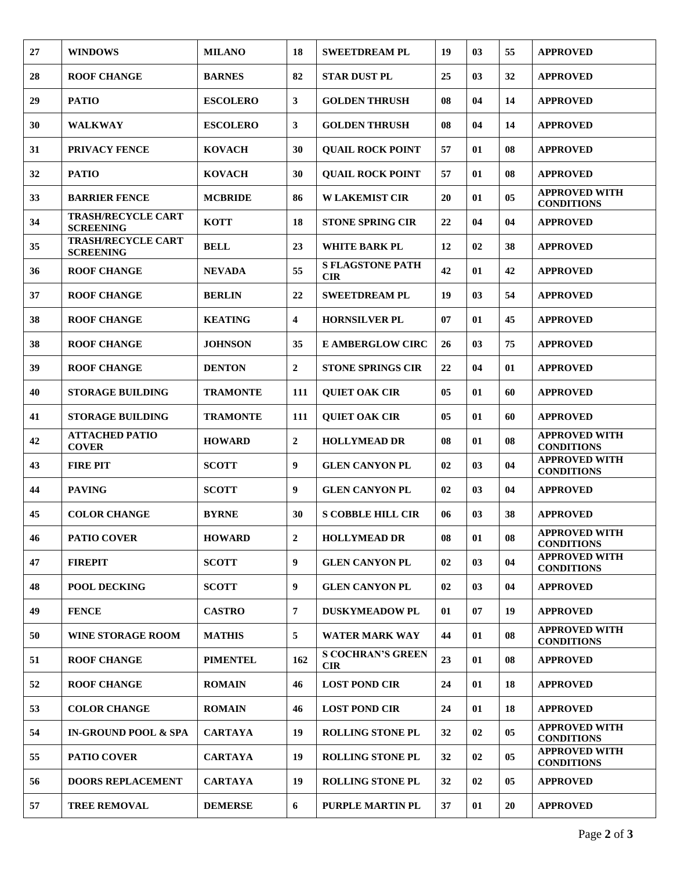| 27 | <b>WINDOWS</b>                                | <b>MILANO</b>   | 18                      | <b>SWEETDREAM PL</b>                   | 19 | 0 <sub>3</sub> | 55             | <b>APPROVED</b>                           |
|----|-----------------------------------------------|-----------------|-------------------------|----------------------------------------|----|----------------|----------------|-------------------------------------------|
| 28 | <b>ROOF CHANGE</b>                            | <b>BARNES</b>   | 82                      | <b>STAR DUST PL</b>                    | 25 | 03             | 32             | <b>APPROVED</b>                           |
| 29 | <b>PATIO</b>                                  | <b>ESCOLERO</b> | $\mathbf{3}$            | <b>GOLDEN THRUSH</b>                   | 08 | 04             | 14             | <b>APPROVED</b>                           |
| 30 | <b>WALKWAY</b>                                | <b>ESCOLERO</b> | 3                       | <b>GOLDEN THRUSH</b>                   | 08 | 04             | 14             | <b>APPROVED</b>                           |
| 31 | PRIVACY FENCE                                 | <b>KOVACH</b>   | 30                      | <b>QUAIL ROCK POINT</b>                | 57 | 01             | 08             | <b>APPROVED</b>                           |
| 32 | <b>PATIO</b>                                  | <b>KOVACH</b>   | 30                      | <b>QUAIL ROCK POINT</b>                | 57 | 01             | 08             | <b>APPROVED</b>                           |
| 33 | <b>BARRIER FENCE</b>                          | <b>MCBRIDE</b>  | 86                      | <b>W LAKEMIST CIR</b>                  | 20 | 01             | 05             | <b>APPROVED WITH</b><br><b>CONDITIONS</b> |
| 34 | <b>TRASH/RECYCLE CART</b><br><b>SCREENING</b> | <b>KOTT</b>     | 18                      | <b>STONE SPRING CIR</b>                | 22 | 04             | 04             | <b>APPROVED</b>                           |
| 35 | <b>TRASH/RECYCLE CART</b><br><b>SCREENING</b> | <b>BELL</b>     | 23                      | WHITE BARK PL                          | 12 | 02             | 38             | <b>APPROVED</b>                           |
| 36 | <b>ROOF CHANGE</b>                            | <b>NEVADA</b>   | 55                      | <b>S FLAGSTONE PATH</b><br><b>CIR</b>  | 42 | 01             | 42             | <b>APPROVED</b>                           |
| 37 | <b>ROOF CHANGE</b>                            | <b>BERLIN</b>   | 22                      | <b>SWEETDREAM PL</b>                   | 19 | 03             | 54             | <b>APPROVED</b>                           |
| 38 | <b>ROOF CHANGE</b>                            | <b>KEATING</b>  | $\overline{\mathbf{4}}$ | <b>HORNSILVER PL</b>                   | 07 | 01             | 45             | <b>APPROVED</b>                           |
| 38 | <b>ROOF CHANGE</b>                            | <b>JOHNSON</b>  | 35                      | <b>E AMBERGLOW CIRC</b>                | 26 | 03             | 75             | <b>APPROVED</b>                           |
| 39 | <b>ROOF CHANGE</b>                            | <b>DENTON</b>   | $\overline{2}$          | <b>STONE SPRINGS CIR</b>               | 22 | 04             | 01             | <b>APPROVED</b>                           |
| 40 | <b>STORAGE BUILDING</b>                       | <b>TRAMONTE</b> | 111                     | <b>QUIET OAK CIR</b>                   | 05 | 01             | 60             | <b>APPROVED</b>                           |
| 41 | <b>STORAGE BUILDING</b>                       | <b>TRAMONTE</b> | 111                     | <b>QUIET OAK CIR</b>                   | 05 | 01             | 60             | <b>APPROVED</b>                           |
| 42 | <b>ATTACHED PATIO</b><br><b>COVER</b>         | <b>HOWARD</b>   | $\overline{2}$          | <b>HOLLYMEAD DR</b>                    | 08 | 01             | 08             | <b>APPROVED WITH</b><br><b>CONDITIONS</b> |
| 43 | <b>FIRE PIT</b>                               | <b>SCOTT</b>    | 9                       | <b>GLEN CANYON PL</b>                  | 02 | 03             | 04             | <b>APPROVED WITH</b><br><b>CONDITIONS</b> |
| 44 | <b>PAVING</b>                                 | <b>SCOTT</b>    | 9                       | <b>GLEN CANYON PL</b>                  | 02 | 03             | 04             | <b>APPROVED</b>                           |
| 45 | <b>COLOR CHANGE</b>                           | <b>BYRNE</b>    | 30                      | <b>S COBBLE HILL CIR</b>               | 06 | 03             | 38             | <b>APPROVED</b>                           |
| 46 | <b>PATIO COVER</b>                            | <b>HOWARD</b>   | $\mathbf{2}$            | <b>HOLLYMEAD DR</b>                    | 08 | 01             | 08             | <b>APPROVED WITH</b><br><b>CONDITIONS</b> |
| 47 | <b>FIREPIT</b>                                | <b>SCOTT</b>    | 9                       | <b>GLEN CANYON PL</b>                  | 02 | 03             | 04             | <b>APPROVED WITH</b><br><b>CONDITIONS</b> |
| 48 | <b>POOL DECKING</b>                           | <b>SCOTT</b>    | 9                       | <b>GLEN CANYON PL</b>                  | 02 | 03             | 04             | <b>APPROVED</b>                           |
| 49 | <b>FENCE</b>                                  | <b>CASTRO</b>   | 7                       | <b>DUSKYMEADOW PL</b>                  | 01 | 07             | 19             | <b>APPROVED</b>                           |
| 50 | <b>WINE STORAGE ROOM</b>                      | <b>MATHIS</b>   | 5                       | <b>WATER MARK WAY</b>                  | 44 | 01             | 08             | <b>APPROVED WITH</b><br><b>CONDITIONS</b> |
| 51 | <b>ROOF CHANGE</b>                            | <b>PIMENTEL</b> | 162                     | <b>S COCHRAN'S GREEN</b><br><b>CIR</b> | 23 | 01             | 08             | <b>APPROVED</b>                           |
| 52 | <b>ROOF CHANGE</b>                            | <b>ROMAIN</b>   | 46                      | <b>LOST POND CIR</b>                   | 24 | 01             | 18             | <b>APPROVED</b>                           |
| 53 | <b>COLOR CHANGE</b>                           | <b>ROMAIN</b>   | 46                      | <b>LOST POND CIR</b>                   | 24 | 01             | 18             | <b>APPROVED</b>                           |
| 54 | <b>IN-GROUND POOL &amp; SPA</b>               | <b>CARTAYA</b>  | 19                      | <b>ROLLING STONE PL</b>                | 32 | 02             | 0 <sub>5</sub> | <b>APPROVED WITH</b><br><b>CONDITIONS</b> |
| 55 | <b>PATIO COVER</b>                            | <b>CARTAYA</b>  | 19                      | <b>ROLLING STONE PL</b>                | 32 | 02             | 0 <sub>5</sub> | <b>APPROVED WITH</b><br><b>CONDITIONS</b> |
| 56 | <b>DOORS REPLACEMENT</b>                      | <b>CARTAYA</b>  | 19                      | <b>ROLLING STONE PL</b>                | 32 | 02             | 05             | <b>APPROVED</b>                           |
| 57 | <b>TREE REMOVAL</b>                           | <b>DEMERSE</b>  | 6                       | PURPLE MARTIN PL                       | 37 | 01             | 20             | <b>APPROVED</b>                           |